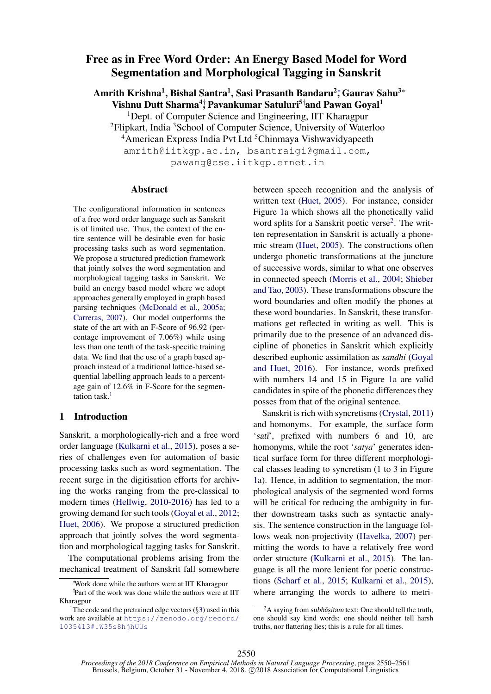# Free as in Free Word Order: An Energy Based Model for Word Segmentation and Morphological Tagging in Sanskrit

Amrith Krishna<sup>1</sup>, Bishal Santra<sup>1</sup>, Sasi Prasanth Bandaru<sup>2</sup>; Gaurav Sahu<sup>3</sup>\* Vishnu Dutt Sharma<sup>4</sup>; Pavankumar Satuluri<sup>5†</sup>and Pawan Goyal<sup>1</sup>

<sup>1</sup>Dept. of Computer Science and Engineering, IIT Kharagpur

<sup>2</sup>Flipkart, India <sup>3</sup>School of Computer Science, University of Waterloo

<sup>4</sup>American Express India Pvt Ltd<sup>5</sup>Chinmaya Vishwavidyapeeth

amrith@iitkgp.ac.in, bsantraigi@gmail.com,

pawang@cse.iitkgp.ernet.in

#### Abstract

The configurational information in sentences of a free word order language such as Sanskrit is of limited use. Thus, the context of the entire sentence will be desirable even for basic processing tasks such as word segmentation. We propose a structured prediction framework that jointly solves the word segmentation and morphological tagging tasks in Sanskrit. We build an energy based model where we adopt approaches generally employed in graph based parsing techniques [\(McDonald et al.,](#page-10-0) [2005a;](#page-10-0) [Carreras,](#page-9-0) [2007\)](#page-9-0). Our model outperforms the state of the art with an F-Score of 96.92 (percentage improvement of 7.06%) while using less than one tenth of the task-specific training data. We find that the use of a graph based approach instead of a traditional lattice-based sequential labelling approach leads to a percentage gain of 12.6% in F-Score for the segmentation task. $<sup>1</sup>$  $<sup>1</sup>$  $<sup>1</sup>$ </sup>

## 1 Introduction

Sanskrit, a morphologically-rich and a free word order language [\(Kulkarni et al.,](#page-10-1) [2015\)](#page-10-1), poses a series of challenges even for automation of basic processing tasks such as word segmentation. The recent surge in the digitisation efforts for archiving the works ranging from the pre-classical to modern times [\(Hellwig,](#page-10-2) [2010-2016\)](#page-10-2) has led to a growing demand for such tools [\(Goyal et al.,](#page-9-1) [2012;](#page-9-1) [Huet,](#page-10-3) [2006\)](#page-10-3). We propose a structured prediction approach that jointly solves the word segmentation and morphological tagging tasks for Sanskrit.

The computational problems arising from the mechanical treatment of Sanskrit fall somewhere between speech recognition and the analysis of written text [\(Huet,](#page-10-4) [2005\)](#page-10-4). For instance, consider Figure [1a](#page-1-0) which shows all the phonetically valid word splits for a Sanskrit poetic verse<sup>[2](#page-0-1)</sup>. The written representation in Sanskrit is actually a phonemic stream [\(Huet,](#page-10-4) [2005\)](#page-10-4). The constructions often undergo phonetic transformations at the juncture of successive words, similar to what one observes in connected speech [\(Morris et al.,](#page-10-5) [2004;](#page-10-5) [Shieber](#page-11-0) [and Tao,](#page-11-0) [2003\)](#page-11-0). These transformations obscure the word boundaries and often modify the phones at these word boundaries. In Sanskrit, these transformations get reflected in writing as well. This is primarily due to the presence of an advanced discipline of phonetics in Sanskrit which explicitly described euphonic assimilation as *sandhi* [\(Goyal](#page-9-2) [and Huet,](#page-9-2) [2016\)](#page-9-2). For instance, words prefixed with numbers 14 and 15 in Figure [1a](#page-1-0) are valid candidates in spite of the phonetic differences they posses from that of the original sentence.

Sanskrit is rich with syncretisms [\(Crystal,](#page-9-3) [2011\)](#page-9-3) and homonyms. For example, the surface form 'sati', prefixed with numbers 6 and 10, are homonyms, while the root '*satya*' generates identical surface form for three different morphological classes leading to syncretism (1 to 3 in Figure [1a](#page-1-0)). Hence, in addition to segmentation, the morphological analysis of the segmented word forms will be critical for reducing the ambiguity in further downstream tasks such as syntactic analysis. The sentence construction in the language follows weak non-projectivity [\(Havelka,](#page-9-4) [2007\)](#page-9-4) permitting the words to have a relatively free word order structure [\(Kulkarni et al.,](#page-10-1) [2015\)](#page-10-1). The language is all the more lenient for poetic constructions [\(Scharf et al.,](#page-11-1) [2015;](#page-11-1) [Kulkarni et al.,](#page-10-1) [2015\)](#page-10-1), where arranging the words to adhere to metri-

<sup>∗</sup>Work done while the authors were at IIT Kharagpur

<sup>†</sup> Part of the work was done while the authors were at IIT Kharagpur

<span id="page-0-0"></span><sup>&</sup>lt;sup>1</sup>The code and the pretrained edge vectors  $(\S 3)$  $(\S 3)$  used in this work are available at [https://zenodo.org/record/](https://zenodo.org/record/1035413#.W35s8hjhUUs) [1035413#.W35s8hjhUUs](https://zenodo.org/record/1035413#.W35s8hjhUUs)

<span id="page-0-1"></span> $2A$  saying from subhasitam text: One should tell the truth, one should say kind words; one should neither tell harsh truths, nor flattering lies; this is a rule for all times.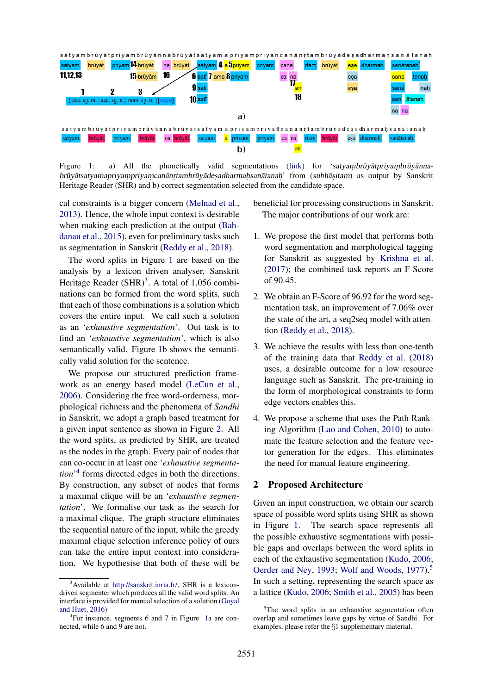

<span id="page-1-0"></span>Figure 1: a) All the phonetically valid segmentations [\(link\)](http://sanskrit.inria.fr/cgi-bin/SKT/sktgraph?lex=SH&st=t&us=f&cp=t&text=satya.mbruuyaatpriya.mbruuyaannabruuyaatsatyamapriya.mpriya.mcanaan.rtambruuyaade.sadharma.hsanaatana.h&t=VH&topic=&mode=g) for 'satyambrūyāt priyam brūyānnabrūyātsatyamapriyam priyam canān r tambrūyādes adharmahsanātanah' from (subhāsitam) as output by Sanskrit Heritage Reader (SHR) and b) correct segmentation selected from the candidate space.

cal constraints is a bigger concern [\(Melnad et al.,](#page-10-6) [2013\)](#page-10-6). Hence, the whole input context is desirable when making each prediction at the output [\(Bah](#page-9-5)[danau et al.,](#page-9-5) [2015\)](#page-9-5), even for preliminary tasks such as segmentation in Sanskrit [\(Reddy et al.,](#page-11-2) [2018\)](#page-11-2).

The word splits in Figure [1](#page-1-0) are based on the analysis by a lexicon driven analyser, Sanskrit Heritage Reader  $(SHR)^3$  $(SHR)^3$ . A total of 1,056 combinations can be formed from the word splits, such that each of those combinations is a solution which covers the entire input. We call such a solution as an '*exhaustive segmentation'*. Out task is to find an '*exhaustive segmentation'*, which is also semantically valid. Figure [1b](#page-1-0) shows the semantically valid solution for the sentence.

We propose our structured prediction framework as an energy based model [\(LeCun et al.,](#page-10-7) [2006\)](#page-10-7). Considering the free word-orderness, morphological richness and the phenomena of *Sandhi* in Sanskrit, we adopt a graph based treatment for a given input sentence as shown in Figure [2.](#page-2-0) All the word splits, as predicted by SHR, are treated as the nodes in the graph. Every pair of nodes that can co-occur in at least one '*exhaustive segmentation*' [4](#page-1-2) forms directed edges in both the directions. By construction, any subset of nodes that forms a maximal clique will be an '*exhaustive segmentation*'. We formalise our task as the search for a maximal clique. The graph structure eliminates the sequential nature of the input, while the greedy maximal clique selection inference policy of ours can take the entire input context into consideration. We hypothesise that both of these will be

- beneficial for processing constructions in Sanskrit. The major contributions of our work are:
- 1. We propose the first model that performs both word segmentation and morphological tagging for Sanskrit as suggested by [Krishna et al.](#page-10-8) [\(2017\)](#page-10-8); the combined task reports an F-Score of 90.45.
- 2. We obtain an F-Score of 96.92 for the word segmentation task, an improvement of 7.06% over the state of the art, a seq2seq model with attention [\(Reddy et al.,](#page-11-2) [2018\)](#page-11-2).
- 3. We achieve the results with less than one-tenth of the training data that [Reddy et al.](#page-11-2) [\(2018\)](#page-11-2) uses, a desirable outcome for a low resource language such as Sanskrit. The pre-training in the form of morphological constraints to form edge vectors enables this.
- 4. We propose a scheme that uses the Path Ranking Algorithm [\(Lao and Cohen,](#page-10-9) [2010\)](#page-10-9) to automate the feature selection and the feature vector generation for the edges. This eliminates the need for manual feature engineering.

#### <span id="page-1-4"></span>2 Proposed Architecture

Given an input construction, we obtain our search space of possible word splits using SHR as shown in Figure [1.](#page-1-0) The search space represents all the possible exhaustive segmentations with possible gaps and overlaps between the word splits in each of the exhaustive segmentation [\(Kudo,](#page-10-10) [2006;](#page-10-10) [Oerder and Ney,](#page-11-3) [1993;](#page-11-3) [Wolf and Woods,](#page-11-4) [1977\)](#page-11-4).<sup>[5](#page-1-3)</sup> In such a setting, representing the search space as a lattice [\(Kudo,](#page-10-10) [2006;](#page-10-10) [Smith et al.,](#page-11-5) [2005\)](#page-11-5) has been

<span id="page-1-1"></span><sup>3</sup>Available at [http://sanskrit.inria.fr/,](http://sanskrit.inria.fr/cgi-bin/SKT/sktgraph?lex=SH&st=t&us=f&cp=t&text=satya.mbruuyaatpriya.mbruuyaannabruuyaatsatyamapriya.mpriya.mcanaan.rtambruuyaade.sadharma.hsanaatana.h&t=VH&topic=&mode=g) SHR is a lexicondriven segmenter which produces all the valid word splits. An interface is provided for manual selection of a solution [\(Goyal](#page-9-2) [and Huet,](#page-9-2) [2016\)](#page-9-2)

<span id="page-1-2"></span><sup>4</sup> For instance, segments 6 and 7 in Figure [1a](#page-1-0) are connected, while 6 and 9 are not.

<span id="page-1-3"></span> $5$ The word splits in an exhaustive segmentation often overlap and sometimes leave gaps by virtue of Sandhi. For examples, please refer the §1 supplementary material.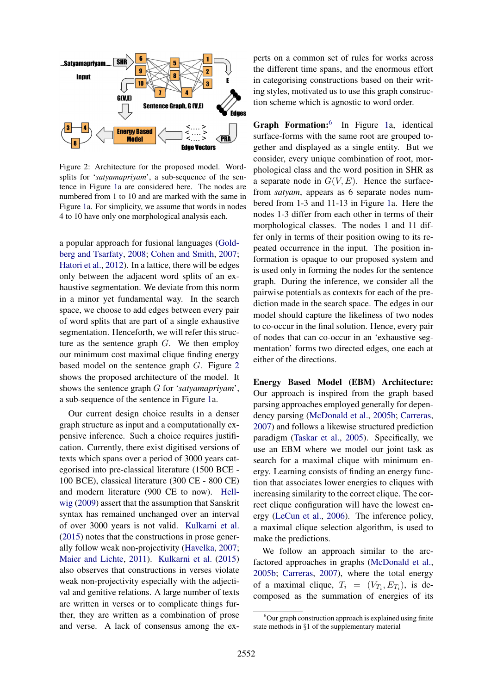

<span id="page-2-0"></span>Figure 2: Architecture for the proposed model. Wordsplits for '*satyamapriyam*', a sub-sequence of the sentence in Figure [1a](#page-1-0) are considered here. The nodes are numbered from 1 to 10 and are marked with the same in Figure [1a](#page-1-0). For simplicity, we assume that words in nodes 4 to 10 have only one morphological analysis each.

a popular approach for fusional languages [\(Gold](#page-9-6)[berg and Tsarfaty,](#page-9-6) [2008;](#page-9-6) [Cohen and Smith,](#page-9-7) [2007;](#page-9-7) [Hatori et al.,](#page-9-8) [2012\)](#page-9-8). In a lattice, there will be edges only between the adjacent word splits of an exhaustive segmentation. We deviate from this norm in a minor yet fundamental way. In the search space, we choose to add edges between every pair of word splits that are part of a single exhaustive segmentation. Henceforth, we will refer this structure as the sentence graph  $G$ . We then employ our minimum cost maximal clique finding energy based model on the sentence graph G. Figure [2](#page-2-0) shows the proposed architecture of the model. It shows the sentence graph G for '*satyamapriyam*', a sub-sequence of the sentence in Figure [1a](#page-1-0).

Our current design choice results in a denser graph structure as input and a computationally expensive inference. Such a choice requires justification. Currently, there exist digitised versions of texts which spans over a period of 3000 years categorised into pre-classical literature (1500 BCE - 100 BCE), classical literature (300 CE - 800 CE) and modern literature (900 CE to now). [Hell](#page-10-11)[wig](#page-10-11) [\(2009\)](#page-10-11) assert that the assumption that Sanskrit syntax has remained unchanged over an interval of over 3000 years is not valid. [Kulkarni et al.](#page-10-1) [\(2015\)](#page-10-1) notes that the constructions in prose generally follow weak non-projectivity [\(Havelka,](#page-9-4) [2007;](#page-9-4) [Maier and Lichte,](#page-10-12) [2011\)](#page-10-12). [Kulkarni et al.](#page-10-1) [\(2015\)](#page-10-1) also observes that constructions in verses violate weak non-projectivity especially with the adjectival and genitive relations. A large number of texts are written in verses or to complicate things further, they are written as a combination of prose and verse. A lack of consensus among the experts on a common set of rules for works across the different time spans, and the enormous effort in categorising constructions based on their writing styles, motivated us to use this graph construction scheme which is agnostic to word order.

Graph Formation:<sup>[6](#page-2-1)</sup> In Figure [1a](#page-1-0), identical surface-forms with the same root are grouped together and displayed as a single entity. But we consider, every unique combination of root, morphological class and the word position in SHR as a separate node in  $G(V, E)$ . Hence the surfacefrom *satyam*, appears as 6 separate nodes numbered from 1-3 and 11-13 in Figure [1a](#page-1-0). Here the nodes 1-3 differ from each other in terms of their morphological classes. The nodes 1 and 11 differ only in terms of their position owing to its repeated occurrence in the input. The position information is opaque to our proposed system and is used only in forming the nodes for the sentence graph. During the inference, we consider all the pairwise potentials as contexts for each of the prediction made in the search space. The edges in our model should capture the likeliness of two nodes to co-occur in the final solution. Hence, every pair of nodes that can co-occur in an 'exhaustive segmentation' forms two directed edges, one each at either of the directions.

Energy Based Model (EBM) Architecture: Our approach is inspired from the graph based parsing approaches employed generally for dependency parsing [\(McDonald et al.,](#page-10-13) [2005b;](#page-10-13) [Carreras,](#page-9-0) [2007\)](#page-9-0) and follows a likewise structured prediction paradigm [\(Taskar et al.,](#page-11-6) [2005\)](#page-11-6). Specifically, we use an EBM where we model our joint task as search for a maximal clique with minimum energy. Learning consists of finding an energy function that associates lower energies to cliques with increasing similarity to the correct clique. The correct clique configuration will have the lowest energy [\(LeCun et al.,](#page-10-7) [2006\)](#page-10-7). The inference policy, a maximal clique selection algorithm, is used to make the predictions.

We follow an approach similar to the arcfactored approaches in graphs [\(McDonald et al.,](#page-10-13) [2005b;](#page-10-13) [Carreras,](#page-9-0) [2007\)](#page-9-0), where the total energy of a maximal clique,  $T_i = (V_{T_i}, E_{T_i})$ , is decomposed as the summation of energies of its

<span id="page-2-1"></span> $6$ Our graph construction approach is explained using finite state methods in §1 of the supplementary material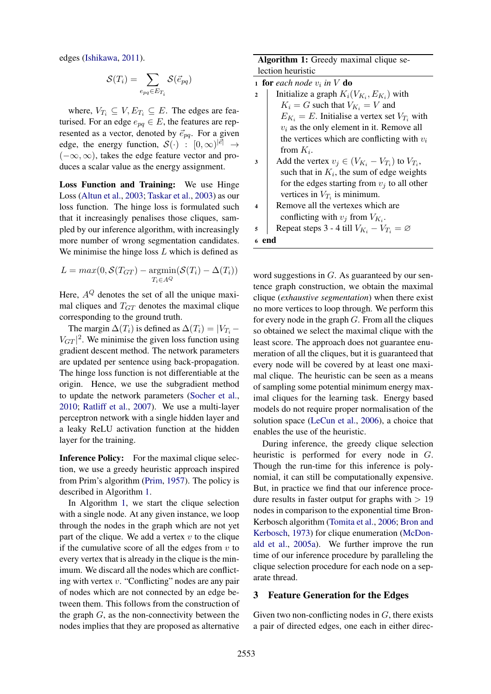edges [\(Ishikawa,](#page-10-14) [2011\)](#page-10-14).

$$
\mathcal{S}(T_i) = \sum_{e_{pq} \in E_{T_i}} \mathcal{S}(\vec{e}_{pq})
$$

where,  $V_{T_i} \subseteq V, E_{T_i} \subseteq E$ . The edges are featurised. For an edge  $e_{pq} \in E$ , the features are represented as a vector, denoted by  $\vec{e}_{pq}$ . For a given edge, the energy function,  $\mathcal{S}(\cdot) : [0,\infty)^{|\vec{e}|} \rightarrow$  $(-\infty, \infty)$ , takes the edge feature vector and produces a scalar value as the energy assignment.

Loss Function and Training: We use Hinge Loss [\(Altun et al.,](#page-9-9) [2003;](#page-9-9) [Taskar et al.,](#page-11-7) [2003\)](#page-11-7) as our loss function. The hinge loss is formulated such that it increasingly penalises those cliques, sampled by our inference algorithm, with increasingly more number of wrong segmentation candidates. We minimise the hinge loss  $L$  which is defined as

$$
L = max(0, \mathcal{S}(T_{GT}) - \underset{T_i \in A^Q}{\text{argmin}}(\mathcal{S}(T_i) - \Delta(T_i))
$$

Here,  $A^{Q}$  denotes the set of all the unique maximal cliques and  $T<sub>GT</sub>$  denotes the maximal clique corresponding to the ground truth.

The margin  $\Delta(T_i)$  is defined as  $\Delta(T_i) = |V_{T_i} - V_{T_i}|$  $V_{GT}$ <sup>2</sup>. We minimise the given loss function using gradient descent method. The network parameters are updated per sentence using back-propagation. The hinge loss function is not differentiable at the origin. Hence, we use the subgradient method to update the network parameters [\(Socher et al.,](#page-11-8) [2010;](#page-11-8) [Ratliff et al.,](#page-11-9) [2007\)](#page-11-9). We use a multi-layer perceptron network with a single hidden layer and a leaky ReLU activation function at the hidden layer for the training.

Inference Policy: For the maximal clique selection, we use a greedy heuristic approach inspired from Prim's algorithm [\(Prim,](#page-11-10) [1957\)](#page-11-10). The policy is described in Algorithm [1.](#page-3-1)

<span id="page-3-1"></span>In Algorithm [1,](#page-3-1) we start the clique selection with a single node. At any given instance, we loop through the nodes in the graph which are not yet part of the clique. We add a vertex  $v$  to the clique if the cumulative score of all the edges from  $v$  to every vertex that is already in the clique is the minimum. We discard all the nodes which are conflicting with vertex  $v$ . "Conflicting" nodes are any pair of nodes which are not connected by an edge between them. This follows from the construction of the graph  $G$ , as the non-connectivity between the nodes implies that they are proposed as alternative

Algorithm 1: Greedy maximal clique selection heuristic

- 1 for each node  $v_i$  in  $V$  do
- 2 | Initialize a graph  $K_i(V_{K_i}, E_{K_i})$  with  $K_i = G$  such that  $V_{K_i} = V$  and  $E_{K_i} = E$ . Initialise a vertex set  $V_{T_i}$  with  $v_i$  as the only element in it. Remove all the vertices which are conflicting with  $v_i$ from  $K_i$ .
- 3 Add the vertex  $v_j \in (V_{K_i} V_{T_i})$  to  $V_{T_i}$ , such that in  $K_i$ , the sum of edge weights for the edges starting from  $v_i$  to all other vertices in  $V_{T_i}$  is minimum.
- 4 Remove all the vertexes which are conflicting with  $v_j$  from  $V_{K_i}$ .
- 5 Repeat steps 3 4 till  $V_{K_i} V_{T_i} = \emptyset$

## <sup>6</sup> end

word suggestions in  $G$ . As guaranteed by our sentence graph construction, we obtain the maximal clique (*exhaustive segmentation*) when there exist no more vertices to loop through. We perform this for every node in the graph  $G$ . From all the cliques so obtained we select the maximal clique with the least score. The approach does not guarantee enumeration of all the cliques, but it is guaranteed that every node will be covered by at least one maximal clique. The heuristic can be seen as a means of sampling some potential minimum energy maximal cliques for the learning task. Energy based models do not require proper normalisation of the solution space [\(LeCun et al.,](#page-10-7) [2006\)](#page-10-7), a choice that enables the use of the heuristic.

During inference, the greedy clique selection heuristic is performed for every node in G. Though the run-time for this inference is polynomial, it can still be computationally expensive. But, in practice we find that our inference procedure results in faster output for graphs with  $> 19$ nodes in comparison to the exponential time Bron-Kerbosch algorithm [\(Tomita et al.,](#page-11-11) [2006;](#page-11-11) [Bron and](#page-9-10) [Kerbosch,](#page-9-10) [1973\)](#page-9-10) for clique enumeration [\(McDon](#page-10-0)[ald et al.,](#page-10-0) [2005a\)](#page-10-0). We further improve the run time of our inference procedure by paralleling the clique selection procedure for each node on a separate thread.

#### <span id="page-3-0"></span>3 Feature Generation for the Edges

Given two non-conflicting nodes in  $G$ , there exists a pair of directed edges, one each in either direc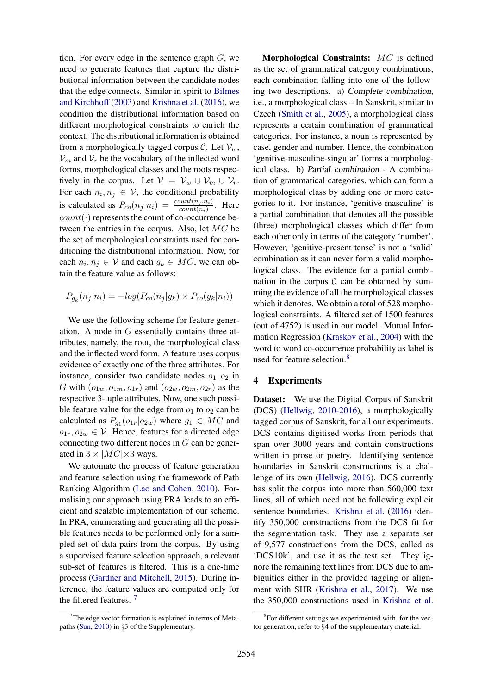tion. For every edge in the sentence graph  $G$ , we need to generate features that capture the distributional information between the candidate nodes that the edge connects. Similar in spirit to [Bilmes](#page-9-11) [and Kirchhoff](#page-9-11) [\(2003\)](#page-9-11) and [Krishna et al.](#page-10-15) [\(2016\)](#page-10-15), we condition the distributional information based on different morphological constraints to enrich the context. The distributional information is obtained from a morphologically tagged corpus C. Let  $V_w$ ,  $V_m$  and  $V_r$  be the vocabulary of the inflected word forms, morphological classes and the roots respectively in the corpus. Let  $V = V_w \cup V_m \cup V_r$ . For each  $n_i, n_j \in V$ , the conditional probability is calculated as  $P_{co}(n_j|n_i) = \frac{count(n_j,n_i)}{count(n_i)}$ . Here  $count(\cdot)$  represents the count of co-occurrence between the entries in the corpus. Also, let MC be the set of morphological constraints used for conditioning the distributional information. Now, for each  $n_i, n_j \in V$  and each  $g_k \in MC$ , we can obtain the feature value as follows:

$$
P_{g_k}(n_j|n_i) = -log(P_{co}(n_j|g_k) \times P_{co}(g_k|n_i))
$$

We use the following scheme for feature generation. A node in G essentially contains three attributes, namely, the root, the morphological class and the inflected word form. A feature uses corpus evidence of exactly one of the three attributes. For instance, consider two candidate nodes  $o_1$ ,  $o_2$  in G with  $(o_{1w}, o_{1m}, o_{1r})$  and  $(o_{2w}, o_{2m}, o_{2r})$  as the respective 3-tuple attributes. Now, one such possible feature value for the edge from  $o_1$  to  $o_2$  can be calculated as  $P_{g_1}(o_{1r}|o_{2w})$  where  $g_1 \in MC$  and  $o_{1r}, o_{2w} \in V$ . Hence, features for a directed edge connecting two different nodes in G can be generated in  $3 \times |MC| \times 3$  ways.

We automate the process of feature generation and feature selection using the framework of Path Ranking Algorithm [\(Lao and Cohen,](#page-10-9) [2010\)](#page-10-9). Formalising our approach using PRA leads to an efficient and scalable implementation of our scheme. In PRA, enumerating and generating all the possible features needs to be performed only for a sampled set of data pairs from the corpus. By using a supervised feature selection approach, a relevant sub-set of features is filtered. This is a one-time process [\(Gardner and Mitchell,](#page-9-12) [2015\)](#page-9-12). During inference, the feature values are computed only for the filtered features. [7](#page-4-0)

Morphological Constraints: MC is defined as the set of grammatical category combinations, each combination falling into one of the following two descriptions. a) Complete combination, i.e., a morphological class – In Sanskrit, similar to Czech [\(Smith et al.,](#page-11-5) [2005\)](#page-11-5), a morphological class represents a certain combination of grammatical categories. For instance, a noun is represented by case, gender and number. Hence, the combination 'genitive-masculine-singular' forms a morphological class. b) Partial combination - A combination of grammatical categories, which can form a morphological class by adding one or more categories to it. For instance, 'genitive-masculine' is a partial combination that denotes all the possible (three) morphological classes which differ from each other only in terms of the category 'number'. However, 'genitive-present tense' is not a 'valid' combination as it can never form a valid morphological class. The evidence for a partial combination in the corpus  $C$  can be obtained by summing the evidence of all the morphological classes which it denotes. We obtain a total of 528 morphological constraints. A filtered set of 1500 features (out of 4752) is used in our model. Mutual Information Regression [\(Kraskov et al.,](#page-10-16) [2004\)](#page-10-16) with the word to word co-occurrence probability as label is used for feature selection.<sup>[8](#page-4-1)</sup>

#### 4 Experiments

Dataset: We use the Digital Corpus of Sanskrit (DCS) [\(Hellwig,](#page-10-2) [2010-2016\)](#page-10-2), a morphologically tagged corpus of Sanskrit, for all our experiments. DCS contains digitised works from periods that span over 3000 years and contain constructions written in prose or poetry. Identifying sentence boundaries in Sanskrit constructions is a challenge of its own [\(Hellwig,](#page-10-17) [2016\)](#page-10-17). DCS currently has split the corpus into more than 560,000 text lines, all of which need not be following explicit sentence boundaries. [Krishna et al.](#page-10-15) [\(2016\)](#page-10-15) identify 350,000 constructions from the DCS fit for the segmentation task. They use a separate set of 9,577 constructions from the DCS, called as 'DCS10k', and use it as the test set. They ignore the remaining text lines from DCS due to ambiguities either in the provided tagging or alignment with SHR [\(Krishna et al.,](#page-10-8) [2017\)](#page-10-8). We use the 350,000 constructions used in [Krishna et al.](#page-10-15)

<span id="page-4-0"></span> $7$ The edge vector formation is explained in terms of Metapaths [\(Sun,](#page-11-12) [2010\)](#page-11-12) in §3 of the Supplementary.

<span id="page-4-1"></span><sup>8</sup> For different settings we experimented with, for the vector generation, refer to §4 of the supplementary material.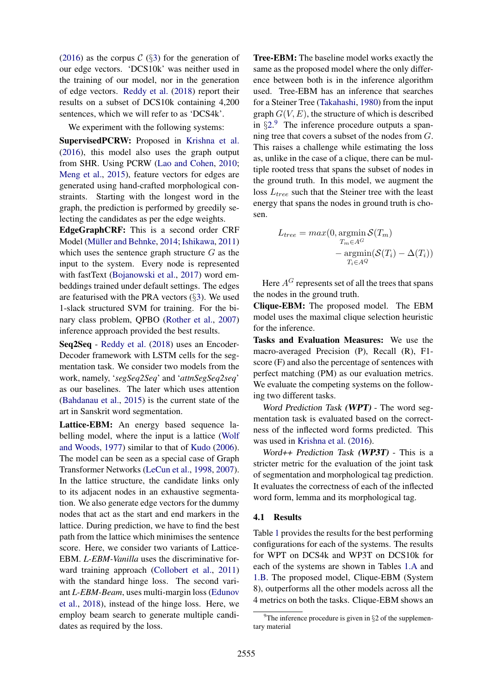[\(2016\)](#page-10-15) as the corpus  $C$  (§[3\)](#page-3-0) for the generation of our edge vectors. 'DCS10k' was neither used in the training of our model, nor in the generation of edge vectors. [Reddy et al.](#page-11-2) [\(2018\)](#page-11-2) report their results on a subset of DCS10k containing 4,200 sentences, which we will refer to as 'DCS4k'.

We experiment with the following systems:

SupervisedPCRW: Proposed in [Krishna et al.](#page-10-15) [\(2016\)](#page-10-15), this model also uses the graph output from SHR. Using PCRW [\(Lao and Cohen,](#page-10-9) [2010;](#page-10-9) [Meng et al.,](#page-10-18) [2015\)](#page-10-18), feature vectors for edges are generated using hand-crafted morphological constraints. Starting with the longest word in the graph, the prediction is performed by greedily selecting the candidates as per the edge weights.

EdgeGraphCRF: This is a second order CRF Model (Müller and Behnke, [2014;](#page-11-13) [Ishikawa,](#page-10-14) [2011\)](#page-10-14) which uses the sentence graph structure  $G$  as the input to the system. Every node is represented with fastText [\(Bojanowski et al.,](#page-9-13) [2017\)](#page-9-13) word embeddings trained under default settings. The edges are featurised with the PRA vectors  $(\S3)$  $(\S3)$ . We used 1-slack structured SVM for training. For the binary class problem, QPBO [\(Rother et al.,](#page-11-14) [2007\)](#page-11-14) inference approach provided the best results.

Seq2Seq - [Reddy et al.](#page-11-2) [\(2018\)](#page-11-2) uses an Encoder-Decoder framework with LSTM cells for the segmentation task. We consider two models from the work, namely, '*segSeq2Seq*' and '*attnSegSeq2seq*' as our baselines. The later which uses attention [\(Bahdanau et al.,](#page-9-5) [2015\)](#page-9-5) is the current state of the art in Sanskrit word segmentation.

Lattice-EBM: An energy based sequence labelling model, where the input is a lattice [\(Wolf](#page-11-4) [and Woods,](#page-11-4) [1977\)](#page-11-4) similar to that of [Kudo](#page-10-10) [\(2006\)](#page-10-10). The model can be seen as a special case of Graph Transformer Networks [\(LeCun et al.,](#page-10-19) [1998,](#page-10-19) [2007\)](#page-10-20). In the lattice structure, the candidate links only to its adjacent nodes in an exhaustive segmentation. We also generate edge vectors for the dummy nodes that act as the start and end markers in the lattice. During prediction, we have to find the best path from the lattice which minimises the sentence score. Here, we consider two variants of Lattice-EBM. *L-EBM-Vanilla* uses the discriminative forward training approach [\(Collobert et al.,](#page-9-14) [2011\)](#page-9-14) with the standard hinge loss. The second variant *L-EBM-Beam*, uses multi-margin loss [\(Edunov](#page-9-15) [et al.,](#page-9-15) [2018\)](#page-9-15), instead of the hinge loss. Here, we employ beam search to generate multiple candidates as required by the loss.

Tree-EBM: The baseline model works exactly the same as the proposed model where the only difference between both is in the inference algorithm used. Tree-EBM has an inference that searches for a Steiner Tree [\(Takahashi,](#page-11-15) [1980\)](#page-11-15) from the input graph  $G(V, E)$ , the structure of which is described in  $\S2<sup>9</sup>$  $\S2<sup>9</sup>$  $\S2<sup>9</sup>$  The inference procedure outputs a spanning tree that covers a subset of the nodes from G. This raises a challenge while estimating the loss as, unlike in the case of a clique, there can be multiple rooted tress that spans the subset of nodes in the ground truth. In this model, we augment the loss  $L<sub>tree</sub>$  such that the Steiner tree with the least energy that spans the nodes in ground truth is chosen.

$$
L_{tree} = max(0, \underset{T_n \in A^G}{\operatorname{argmin}} \mathcal{S}(T_m)
$$

$$
- \underset{T_i \in A^Q}{\operatorname{argmin}} (\mathcal{S}(T_i) - \Delta(T_i))
$$

Here  $A^G$  represents set of all the trees that spans the nodes in the ground truth.

Clique-EBM: The proposed model. The EBM model uses the maximal clique selection heuristic for the inference.

Tasks and Evaluation Measures: We use the macro-averaged Precision (P), Recall (R), F1 score (F) and also the percentage of sentences with perfect matching (PM) as our evaluation metrics. We evaluate the competing systems on the following two different tasks.

Word Prediction Task (WPT) - The word segmentation task is evaluated based on the correctness of the inflected word forms predicted. This was used in [Krishna et al.](#page-10-15) [\(2016\)](#page-10-15).

Word++ Prediction Task (WP3T) - This is a stricter metric for the evaluation of the joint task of segmentation and morphological tag prediction. It evaluates the correctness of each of the inflected word form, lemma and its morphological tag.

#### 4.1 Results

Table [1](#page-6-0) provides the results for the best performing configurations for each of the systems. The results for WPT on DCS4k and WP3T on DCS10k for each of the systems are shown in Tables [1.A](#page-6-0) and [1.B.](#page-6-1) The proposed model, Clique-EBM (System 8), outperforms all the other models across all the 4 metrics on both the tasks. Clique-EBM shows an

<span id="page-5-0"></span> $9^9$ The inference procedure is given in §2 of the supplementary material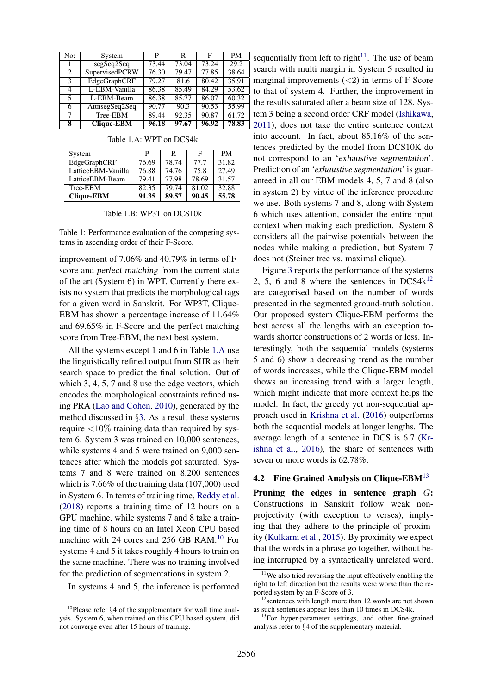| No:            | System            | P     | R     | F     | <b>PM</b> |
|----------------|-------------------|-------|-------|-------|-----------|
|                | segSeq2Seq        | 73.44 | 73.04 | 73.24 | 29.2      |
| $\mathfrak{D}$ | SupervisedPCRW    | 76.30 | 79.47 | 77.85 | 38.64     |
| 3              | EdgeGraphCRF      | 79.27 | 81.6  | 80.42 | 35.91     |
| 4              | L-EBM-Vanilla     | 86.38 | 85.49 | 84.29 | 53.62     |
| 5              | L-EBM-Beam        | 86.38 | 85.77 | 86.07 | 60.32     |
| 6              | AttnsegSeq2Seq    | 90.77 | 90.3  | 90.53 | 55.99     |
|                | Tree-EBM          | 89.44 | 92.35 | 90.87 | 61.72     |
| 8              | <b>Clique-EBM</b> | 96.18 | 97.67 | 96.92 | 78.83     |

System P R F PM EdgeGraphCRF 76.69 78.74 77.7 31.82<br>
LatticeEBM-Vanilla 76.88 74.76 75.8 27.49 LatticeEBM-Vanilla 76.88 74.76 75.8 27.49<br>
LatticeEBM-Beam 79.41 77.98 78.69 31.57 LatticeEBM-Beam 79.41 77.98 78.69 31.57<br>Tree-EBM 82.35 79.74 81.02 32.88 Tree-EBM 82.35 79.74 81.02 32.88<br>Clique-EBM 91.35 89.57 90.45 55.78 Clique-EBM 91.35 89.57 90.45

<span id="page-6-0"></span>Table 1.A: WPT on DCS4k

<span id="page-6-1"></span>

| Table 1.B: WP3T on DCS10k |  |
|---------------------------|--|
|---------------------------|--|

Table 1: Performance evaluation of the competing systems in ascending order of their F-Score.

improvement of 7.06% and 40.79% in terms of Fscore and perfect matching from the current state of the art (System 6) in WPT. Currently there exists no system that predicts the morphological tags for a given word in Sanskrit. For WP3T, Clique-EBM has shown a percentage increase of 11.64% and 69.65% in F-Score and the perfect matching score from Tree-EBM, the next best system.

All the systems except 1 and 6 in Table [1.A](#page-6-0) use the linguistically refined output from SHR as their search space to predict the final solution. Out of which 3, 4, 5, 7 and 8 use the edge vectors, which encodes the morphological constraints refined using PRA [\(Lao and Cohen,](#page-10-9) [2010\)](#page-10-9), generated by the method discussed in §[3.](#page-3-0) As a result these systems require  $\langle 10\%$  training data than required by system 6. System 3 was trained on 10,000 sentences, while systems 4 and 5 were trained on 9,000 sentences after which the models got saturated. Systems 7 and 8 were trained on 8,200 sentences which is 7.66% of the training data (107,000) used in System 6. In terms of training time, [Reddy et al.](#page-11-2) [\(2018\)](#page-11-2) reports a training time of 12 hours on a GPU machine, while systems 7 and 8 take a training time of 8 hours on an Intel Xeon CPU based machine with 24 cores and 256 GB RAM.<sup>[10](#page-6-2)</sup> For systems 4 and 5 it takes roughly 4 hours to train on the same machine. There was no training involved for the prediction of segmentations in system 2.

In systems 4 and 5, the inference is performed

sequentially from left to right<sup>[11](#page-6-3)</sup>. The use of beam search with multi margin in System 5 resulted in marginal improvements  $(<2)$  in terms of F-Score to that of system 4. Further, the improvement in the results saturated after a beam size of 128. System 3 being a second order CRF model [\(Ishikawa,](#page-10-14) [2011\)](#page-10-14), does not take the entire sentence context into account. In fact, about 85.16% of the sentences predicted by the model from DCS10K do not correspond to an 'exhaustive segmentation'. Prediction of an '*exhaustive segmentation*' is guaranteed in all our EBM models 4, 5, 7 and 8 (also in system 2) by virtue of the inference procedure we use. Both systems 7 and 8, along with System 6 which uses attention, consider the entire input context when making each prediction. System 8 considers all the pairwise potentials between the nodes while making a prediction, but System 7 does not (Steiner tree vs. maximal clique).

Figure [3](#page-7-0) reports the performance of the systems 2, 5, 6 and 8 where the sentences in  $DCS4k^{12}$  $DCS4k^{12}$  $DCS4k^{12}$ are categorised based on the number of words presented in the segmented ground-truth solution. Our proposed system Clique-EBM performs the best across all the lengths with an exception towards shorter constructions of 2 words or less. Interestingly, both the sequential models (systems 5 and 6) show a decreasing trend as the number of words increases, while the Clique-EBM model shows an increasing trend with a larger length, which might indicate that more context helps the model. In fact, the greedy yet non-sequential approach used in [Krishna et al.](#page-10-15) [\(2016\)](#page-10-15) outperforms both the sequential models at longer lengths. The average length of a sentence in DCS is 6.7 [\(Kr](#page-10-15)[ishna et al.,](#page-10-15) [2016\)](#page-10-15), the share of sentences with seven or more words is 62.78%.

# 4.2 Fine Grained Analysis on Clique-EBM<sup>[13](#page-6-5)</sup>

Pruning the edges in sentence graph  $G$ : Constructions in Sanskrit follow weak nonprojectivity (with exception to verses), implying that they adhere to the principle of proximity [\(Kulkarni et al.,](#page-10-1) [2015\)](#page-10-1). By proximity we expect that the words in a phrase go together, without being interrupted by a syntactically unrelated word.

<span id="page-6-2"></span> $10P$ lease refer §4 of the supplementary for wall time analysis. System 6, when trained on this CPU based system, did not converge even after 15 hours of training.

<span id="page-6-3"></span><sup>&</sup>lt;sup>11</sup>We also tried reversing the input effectively enabling the right to left direction but the results were worse than the reported system by an F-Score of 3.

<span id="page-6-4"></span><sup>&</sup>lt;sup>12</sup> sentences with length more than 12 words are not shown as such sentences appear less than 10 times in DCS4k.

<span id="page-6-5"></span><sup>&</sup>lt;sup>13</sup>For hyper-parameter settings, and other fine-grained analysis refer to §4 of the supplementary material.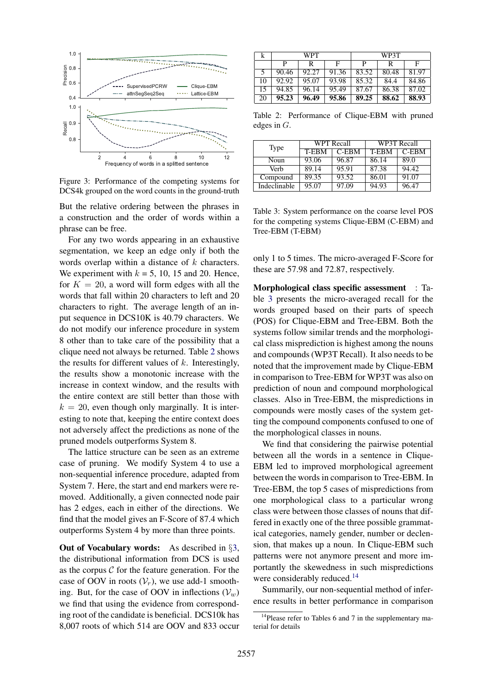

<span id="page-7-0"></span>Figure 3: Performance of the competing systems for DCS4k grouped on the word counts in the ground-truth

But the relative ordering between the phrases in a construction and the order of words within a phrase can be free.

For any two words appearing in an exhaustive segmentation, we keep an edge only if both the words overlap within a distance of k characters. We experiment with  $k = 5$ , 10, 15 and 20. Hence, for  $K = 20$ , a word will form edges with all the words that fall within 20 characters to left and 20 characters to right. The average length of an input sequence in DCS10K is 40.79 characters. We do not modify our inference procedure in system 8 other than to take care of the possibility that a clique need not always be returned. Table [2](#page-6-1) shows the results for different values of  $k$ . Interestingly, the results show a monotonic increase with the increase in context window, and the results with the entire context are still better than those with  $k = 20$ , even though only marginally. It is interesting to note that, keeping the entire context does not adversely affect the predictions as none of the pruned models outperforms System 8.

The lattice structure can be seen as an extreme case of pruning. We modify System 4 to use a non-sequential inference procedure, adapted from System 7. Here, the start and end markers were removed. Additionally, a given connected node pair has 2 edges, each in either of the directions. We find that the model gives an F-Score of 87.4 which outperforms System 4 by more than three points.

Out of Vocabulary words: As described in §[3,](#page-3-0) the distributional information from DCS is used as the corpus  $C$  for the feature generation. For the case of OOV in roots  $(\mathcal{V}_r)$ , we use add-1 smoothing. But, for the case of OOV in inflections  $(V_w)$ we find that using the evidence from corresponding root of the candidate is beneficial. DCS10k has 8,007 roots of which 514 are OOV and 833 occur

|     | WPT   |       |       | WP3T  |       |       |
|-----|-------|-------|-------|-------|-------|-------|
|     |       | R     | F     | р     | R     | F     |
|     | 90.46 | 92.27 | 91.36 | 83.52 | 80.48 | 81.97 |
| 10  | 92.92 | 95.07 | 93.98 | 85.32 | 84.4  | 84.86 |
| 15  | 94.85 | 96.14 | 95.49 | 87.67 | 86.38 | 87.02 |
| -20 | 95.23 | 96.49 | 95.86 | 89.25 | 88.62 | 88.93 |

Table 2: Performance of Clique-EBM with pruned edges in G.

| Type         |       | <b>WPT</b> Recall | WP3T Recall |          |  |
|--------------|-------|-------------------|-------------|----------|--|
|              | T-EBM | $C$ -EBM          | T-EBM       | $C$ -EBM |  |
| Noun         | 93.06 | 96.87             | 86.14       | 89.0     |  |
| Verh         | 89.14 | 95.91             | 87.38       | 94.42    |  |
| Compound     | 89.35 | 93.52             | 86.01       | 91.07    |  |
| Indeclinable | 95.07 | 97.09             | 94.93       | 96.47    |  |

<span id="page-7-1"></span>Table 3: System performance on the coarse level POS for the competing systems Clique-EBM (C-EBM) and Tree-EBM (T-EBM)

only 1 to 5 times. The micro-averaged F-Score for these are 57.98 and 72.87, respectively.

Morphological class specific assessment : Table [3](#page-7-1) presents the micro-averaged recall for the words grouped based on their parts of speech (POS) for Clique-EBM and Tree-EBM. Both the systems follow similar trends and the morphological class misprediction is highest among the nouns and compounds (WP3T Recall). It also needs to be noted that the improvement made by Clique-EBM in comparison to Tree-EBM for WP3T was also on prediction of noun and compound morphological classes. Also in Tree-EBM, the mispredictions in compounds were mostly cases of the system getting the compound components confused to one of the morphological classes in nouns.

We find that considering the pairwise potential between all the words in a sentence in Clique-EBM led to improved morphological agreement between the words in comparison to Tree-EBM. In Tree-EBM, the top 5 cases of mispredictions from one morphological class to a particular wrong class were between those classes of nouns that differed in exactly one of the three possible grammatical categories, namely gender, number or declension, that makes up a noun. In Clique-EBM such patterns were not anymore present and more importantly the skewedness in such mispredictions were considerably reduced.<sup>[14](#page-7-2)</sup>

Summarily, our non-sequential method of inference results in better performance in comparison

<span id="page-7-2"></span><sup>&</sup>lt;sup>14</sup>Please refer to Tables 6 and 7 in the supplementary material for details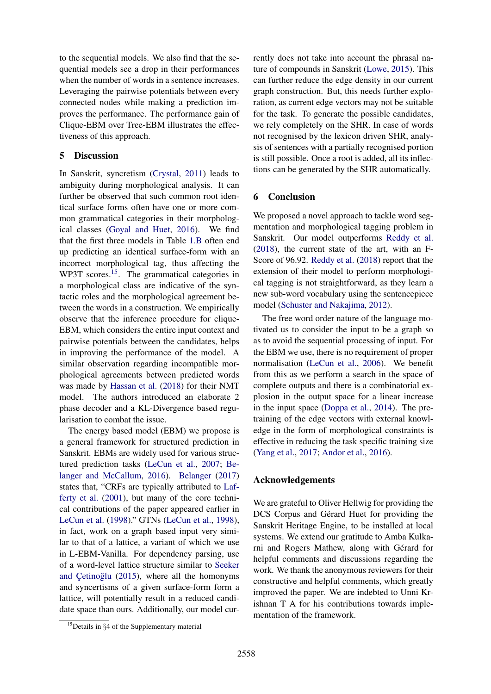to the sequential models. We also find that the sequential models see a drop in their performances when the number of words in a sentence increases. Leveraging the pairwise potentials between every connected nodes while making a prediction improves the performance. The performance gain of Clique-EBM over Tree-EBM illustrates the effectiveness of this approach.

#### 5 Discussion

In Sanskrit, syncretism [\(Crystal,](#page-9-3) [2011\)](#page-9-3) leads to ambiguity during morphological analysis. It can further be observed that such common root identical surface forms often have one or more common grammatical categories in their morphological classes [\(Goyal and Huet,](#page-9-2) [2016\)](#page-9-2). We find that the first three models in Table [1.B](#page-6-1) often end up predicting an identical surface-form with an incorrect morphological tag, thus affecting the WP3T scores.<sup>[15](#page-8-0)</sup>. The grammatical categories in a morphological class are indicative of the syntactic roles and the morphological agreement between the words in a construction. We empirically observe that the inference procedure for clique-EBM, which considers the entire input context and pairwise potentials between the candidates, helps in improving the performance of the model. A similar observation regarding incompatible morphological agreements between predicted words was made by [Hassan et al.](#page-9-16) [\(2018\)](#page-9-16) for their NMT model. The authors introduced an elaborate 2 phase decoder and a KL-Divergence based regularisation to combat the issue.

The energy based model (EBM) we propose is a general framework for structured prediction in Sanskrit. EBMs are widely used for various structured prediction tasks [\(LeCun et al.,](#page-10-20) [2007;](#page-10-20) [Be](#page-9-17)[langer and McCallum,](#page-9-17) [2016\)](#page-9-17). [Belanger](#page-9-18) [\(2017\)](#page-9-18) states that, "CRFs are typically attributed to [Laf](#page-10-21)[ferty et al.](#page-10-21) [\(2001\)](#page-10-21), but many of the core technical contributions of the paper appeared earlier in [LeCun et al.](#page-10-19) [\(1998\)](#page-10-19)." GTNs [\(LeCun et al.,](#page-10-19) [1998\)](#page-10-19), in fact, work on a graph based input very similar to that of a lattice, a variant of which we use in L-EBM-Vanilla. For dependency parsing, use of a word-level lattice structure similar to [Seeker](#page-11-16) and Çetinoğlu  $(2015)$ , where all the homonyms and syncertisms of a given surface-form form a lattice, will potentially result in a reduced candidate space than ours. Additionally, our model currently does not take into account the phrasal nature of compounds in Sanskrit [\(Lowe,](#page-10-22) [2015\)](#page-10-22). This can further reduce the edge density in our current graph construction. But, this needs further exploration, as current edge vectors may not be suitable for the task. To generate the possible candidates, we rely completely on the SHR. In case of words not recognised by the lexicon driven SHR, analysis of sentences with a partially recognised portion is still possible. Once a root is added, all its inflections can be generated by the SHR automatically.

# 6 Conclusion

We proposed a novel approach to tackle word segmentation and morphological tagging problem in Sanskrit. Our model outperforms [Reddy et al.](#page-11-2) [\(2018\)](#page-11-2), the current state of the art, with an F-Score of 96.92. [Reddy et al.](#page-11-2) [\(2018\)](#page-11-2) report that the extension of their model to perform morphological tagging is not straightforward, as they learn a new sub-word vocabulary using the sentencepiece model [\(Schuster and Nakajima,](#page-11-17) [2012\)](#page-11-17).

The free word order nature of the language motivated us to consider the input to be a graph so as to avoid the sequential processing of input. For the EBM we use, there is no requirement of proper normalisation [\(LeCun et al.,](#page-10-7) [2006\)](#page-10-7). We benefit from this as we perform a search in the space of complete outputs and there is a combinatorial explosion in the output space for a linear increase in the input space [\(Doppa et al.,](#page-9-19) [2014\)](#page-9-19). The pretraining of the edge vectors with external knowledge in the form of morphological constraints is effective in reducing the task specific training size [\(Yang et al.,](#page-11-18) [2017;](#page-11-18) [Andor et al.,](#page-9-20) [2016\)](#page-9-20).

#### Acknowledgements

We are grateful to Oliver Hellwig for providing the DCS Corpus and Gérard Huet for providing the Sanskrit Heritage Engine, to be installed at local systems. We extend our gratitude to Amba Kulkarni and Rogers Mathew, along with Gérard for helpful comments and discussions regarding the work. We thank the anonymous reviewers for their constructive and helpful comments, which greatly improved the paper. We are indebted to Unni Krishnan T A for his contributions towards implementation of the framework.

<span id="page-8-0"></span> $15$ Details in §4 of the Supplementary material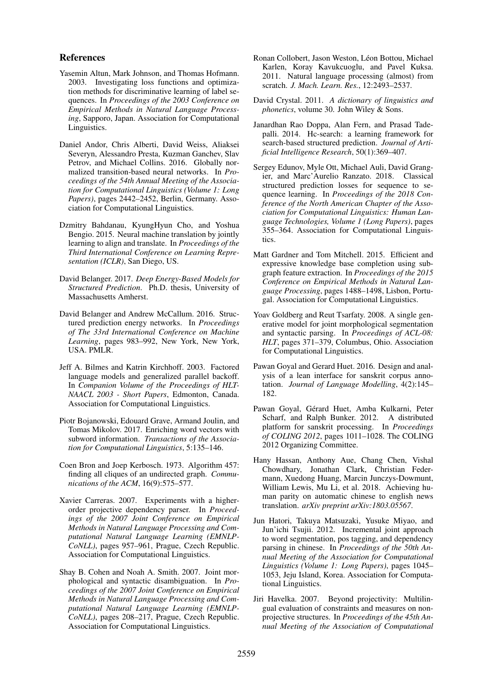#### References

- <span id="page-9-9"></span>Yasemin Altun, Mark Johnson, and Thomas Hofmann. 2003. Investigating loss functions and optimization methods for discriminative learning of label sequences. In *Proceedings of the 2003 Conference on Empirical Methods in Natural Language Processing*, Sapporo, Japan. Association for Computational Linguistics.
- <span id="page-9-20"></span>Daniel Andor, Chris Alberti, David Weiss, Aliaksei Severyn, Alessandro Presta, Kuzman Ganchev, Slav Petrov, and Michael Collins. 2016. Globally normalized transition-based neural networks. In *Proceedings of the 54th Annual Meeting of the Association for Computational Linguistics (Volume 1: Long Papers)*, pages 2442–2452, Berlin, Germany. Association for Computational Linguistics.
- <span id="page-9-5"></span>Dzmitry Bahdanau, KyungHyun Cho, and Yoshua Bengio. 2015. Neural machine translation by jointly learning to align and translate. In *Proceedings of the Third International Conference on Learning Representation (ICLR)*, San Diego, US.
- <span id="page-9-18"></span>David Belanger. 2017. *Deep Energy-Based Models for Structured Prediction*. Ph.D. thesis, University of Massachusetts Amherst.
- <span id="page-9-17"></span>David Belanger and Andrew McCallum. 2016. Structured prediction energy networks. In *Proceedings of The 33rd International Conference on Machine Learning*, pages 983–992, New York, New York, USA. PMLR.
- <span id="page-9-11"></span>Jeff A. Bilmes and Katrin Kirchhoff. 2003. Factored language models and generalized parallel backoff. In *Companion Volume of the Proceedings of HLT-NAACL 2003 - Short Papers*, Edmonton, Canada. Association for Computational Linguistics.
- <span id="page-9-13"></span>Piotr Bojanowski, Edouard Grave, Armand Joulin, and Tomas Mikolov. 2017. Enriching word vectors with subword information. *Transactions of the Association for Computational Linguistics*, 5:135–146.
- <span id="page-9-10"></span>Coen Bron and Joep Kerbosch. 1973. Algorithm 457: finding all cliques of an undirected graph. *Communications of the ACM*, 16(9):575–577.
- <span id="page-9-0"></span>Xavier Carreras. 2007. Experiments with a higherorder projective dependency parser. In *Proceedings of the 2007 Joint Conference on Empirical Methods in Natural Language Processing and Computational Natural Language Learning (EMNLP-CoNLL)*, pages 957–961, Prague, Czech Republic. Association for Computational Linguistics.
- <span id="page-9-7"></span>Shay B. Cohen and Noah A. Smith. 2007. Joint morphological and syntactic disambiguation. In *Proceedings of the 2007 Joint Conference on Empirical Methods in Natural Language Processing and Computational Natural Language Learning (EMNLP-CoNLL)*, pages 208–217, Prague, Czech Republic. Association for Computational Linguistics.
- <span id="page-9-14"></span>Ronan Collobert, Jason Weston, Léon Bottou, Michael Karlen, Koray Kavukcuoglu, and Pavel Kuksa. 2011. Natural language processing (almost) from scratch. *J. Mach. Learn. Res.*, 12:2493–2537.
- <span id="page-9-3"></span>David Crystal. 2011. *A dictionary of linguistics and phonetics*, volume 30. John Wiley & Sons.
- <span id="page-9-19"></span>Janardhan Rao Doppa, Alan Fern, and Prasad Tadepalli. 2014. Hc-search: a learning framework for search-based structured prediction. *Journal of Artificial Intelligence Research*, 50(1):369–407.
- <span id="page-9-15"></span>Sergey Edunov, Myle Ott, Michael Auli, David Grangier, and Marc'Aurelio Ranzato. 2018. Classical structured prediction losses for sequence to sequence learning. In *Proceedings of the 2018 Conference of the North American Chapter of the Association for Computational Linguistics: Human Language Technologies, Volume 1 (Long Papers)*, pages 355–364. Association for Computational Linguistics.
- <span id="page-9-12"></span>Matt Gardner and Tom Mitchell. 2015. Efficient and expressive knowledge base completion using subgraph feature extraction. In *Proceedings of the 2015 Conference on Empirical Methods in Natural Language Processing*, pages 1488–1498, Lisbon, Portugal. Association for Computational Linguistics.
- <span id="page-9-6"></span>Yoav Goldberg and Reut Tsarfaty. 2008. A single generative model for joint morphological segmentation and syntactic parsing. In *Proceedings of ACL-08: HLT*, pages 371–379, Columbus, Ohio. Association for Computational Linguistics.
- <span id="page-9-2"></span>Pawan Goyal and Gerard Huet. 2016. Design and analysis of a lean interface for sanskrit corpus annotation. *Journal of Language Modelling*, 4(2):145– 182.
- <span id="page-9-1"></span>Pawan Goyal, Gérard Huet, Amba Kulkarni, Peter Scharf, and Ralph Bunker. 2012. A distributed platform for sanskrit processing. In *Proceedings of COLING 2012*, pages 1011–1028. The COLING 2012 Organizing Committee.
- <span id="page-9-16"></span>Hany Hassan, Anthony Aue, Chang Chen, Vishal Chowdhary, Jonathan Clark, Christian Federmann, Xuedong Huang, Marcin Junczys-Dowmunt, William Lewis, Mu Li, et al. 2018. Achieving human parity on automatic chinese to english news translation. *arXiv preprint arXiv:1803.05567*.
- <span id="page-9-8"></span>Jun Hatori, Takuya Matsuzaki, Yusuke Miyao, and Jun'ichi Tsujii. 2012. Incremental joint approach to word segmentation, pos tagging, and dependency parsing in chinese. In *Proceedings of the 50th Annual Meeting of the Association for Computational Linguistics (Volume 1: Long Papers)*, pages 1045– 1053, Jeju Island, Korea. Association for Computational Linguistics.
- <span id="page-9-4"></span>Jiri Havelka. 2007. Beyond projectivity: Multilingual evaluation of constraints and measures on nonprojective structures. In *Proceedings of the 45th Annual Meeting of the Association of Computational*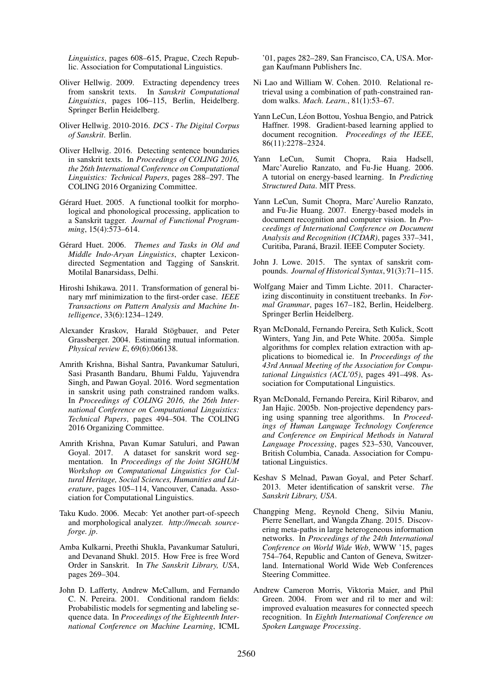*Linguistics*, pages 608–615, Prague, Czech Republic. Association for Computational Linguistics.

- <span id="page-10-11"></span>Oliver Hellwig. 2009. Extracting dependency trees from sanskrit texts. In *Sanskrit Computational Linguistics*, pages 106–115, Berlin, Heidelberg. Springer Berlin Heidelberg.
- <span id="page-10-2"></span>Oliver Hellwig. 2010-2016. *DCS - The Digital Corpus of Sanskrit*. Berlin.
- <span id="page-10-17"></span>Oliver Hellwig. 2016. Detecting sentence boundaries in sanskrit texts. In *Proceedings of COLING 2016, the 26th International Conference on Computational Linguistics: Technical Papers*, pages 288–297. The COLING 2016 Organizing Committee.
- <span id="page-10-4"></span>Gérard Huet. 2005. A functional toolkit for morphological and phonological processing, application to a Sanskrit tagger. *Journal of Functional Programming*, 15(4):573–614.
- <span id="page-10-3"></span>Gérard Huet. 2006. Themes and Tasks in Old and *Middle Indo-Aryan Linguistics*, chapter Lexicondirected Segmentation and Tagging of Sanskrit. Motilal Banarsidass, Delhi.
- <span id="page-10-14"></span>Hiroshi Ishikawa. 2011. Transformation of general binary mrf minimization to the first-order case. *IEEE Transactions on Pattern Analysis and Machine Intelligence*, 33(6):1234–1249.
- <span id="page-10-16"></span>Alexander Kraskov, Harald Stögbauer, and Peter Grassberger. 2004. Estimating mutual information. *Physical review E*, 69(6):066138.
- <span id="page-10-15"></span>Amrith Krishna, Bishal Santra, Pavankumar Satuluri, Sasi Prasanth Bandaru, Bhumi Faldu, Yajuvendra Singh, and Pawan Goyal. 2016. Word segmentation in sanskrit using path constrained random walks. In *Proceedings of COLING 2016, the 26th International Conference on Computational Linguistics: Technical Papers*, pages 494–504. The COLING 2016 Organizing Committee.
- <span id="page-10-8"></span>Amrith Krishna, Pavan Kumar Satuluri, and Pawan Goyal. 2017. A dataset for sanskrit word segmentation. In *Proceedings of the Joint SIGHUM Workshop on Computational Linguistics for Cultural Heritage, Social Sciences, Humanities and Literature*, pages 105–114, Vancouver, Canada. Association for Computational Linguistics.
- <span id="page-10-10"></span>Taku Kudo. 2006. Mecab: Yet another part-of-speech and morphological analyzer. *http://mecab. sourceforge. jp*.
- <span id="page-10-1"></span>Amba Kulkarni, Preethi Shukla, Pavankumar Satuluri, and Devanand Shukl. 2015. How Free is free Word Order in Sanskrit. In *The Sanskrit Library, USA*, pages 269–304.
- <span id="page-10-21"></span>John D. Lafferty, Andrew McCallum, and Fernando C. N. Pereira. 2001. Conditional random fields: Probabilistic models for segmenting and labeling sequence data. In *Proceedings of the Eighteenth International Conference on Machine Learning*, ICML

'01, pages 282–289, San Francisco, CA, USA. Morgan Kaufmann Publishers Inc.

- <span id="page-10-9"></span>Ni Lao and William W. Cohen. 2010. Relational retrieval using a combination of path-constrained random walks. *Mach. Learn.*, 81(1):53–67.
- <span id="page-10-19"></span>Yann LeCun, Léon Bottou, Yoshua Bengio, and Patrick Haffner. 1998. Gradient-based learning applied to document recognition. *Proceedings of the IEEE*, 86(11):2278–2324.
- <span id="page-10-7"></span>Yann LeCun, Sumit Chopra, Raia Hadsell, Marc'Aurelio Ranzato, and Fu-Jie Huang. 2006. A tutorial on energy-based learning. In *Predicting Structured Data*. MIT Press.
- <span id="page-10-20"></span>Yann LeCun, Sumit Chopra, Marc'Aurelio Ranzato, and Fu-Jie Huang. 2007. Energy-based models in document recognition and computer vision. In *Proceedings of International Conference on Document Analysis and Recognition (ICDAR)*, pages 337–341, Curitiba, Paraná, Brazil. IEEE Computer Society.
- <span id="page-10-22"></span>John J. Lowe. 2015. The syntax of sanskrit compounds. *Journal of Historical Syntax*, 91(3):71–115.
- <span id="page-10-12"></span>Wolfgang Maier and Timm Lichte. 2011. Characterizing discontinuity in constituent treebanks. In *Formal Grammar*, pages 167–182, Berlin, Heidelberg. Springer Berlin Heidelberg.
- <span id="page-10-0"></span>Ryan McDonald, Fernando Pereira, Seth Kulick, Scott Winters, Yang Jin, and Pete White. 2005a. Simple algorithms for complex relation extraction with applications to biomedical ie. In *Proceedings of the 43rd Annual Meeting of the Association for Computational Linguistics (ACL'05)*, pages 491–498. Association for Computational Linguistics.
- <span id="page-10-13"></span>Ryan McDonald, Fernando Pereira, Kiril Ribarov, and Jan Hajic. 2005b. Non-projective dependency parsing using spanning tree algorithms. In *Proceedings of Human Language Technology Conference and Conference on Empirical Methods in Natural Language Processing*, pages 523–530, Vancouver, British Columbia, Canada. Association for Computational Linguistics.
- <span id="page-10-6"></span>Keshav S Melnad, Pawan Goyal, and Peter Scharf. 2013. Meter identification of sanskrit verse. *The Sanskrit Library, USA*.
- <span id="page-10-18"></span>Changping Meng, Reynold Cheng, Silviu Maniu, Pierre Senellart, and Wangda Zhang. 2015. Discovering meta-paths in large heterogeneous information networks. In *Proceedings of the 24th International Conference on World Wide Web*, WWW '15, pages 754–764, Republic and Canton of Geneva, Switzerland. International World Wide Web Conferences Steering Committee.
- <span id="page-10-5"></span>Andrew Cameron Morris, Viktoria Maier, and Phil Green. 2004. From wer and ril to mer and wil: improved evaluation measures for connected speech recognition. In *Eighth International Conference on Spoken Language Processing*.